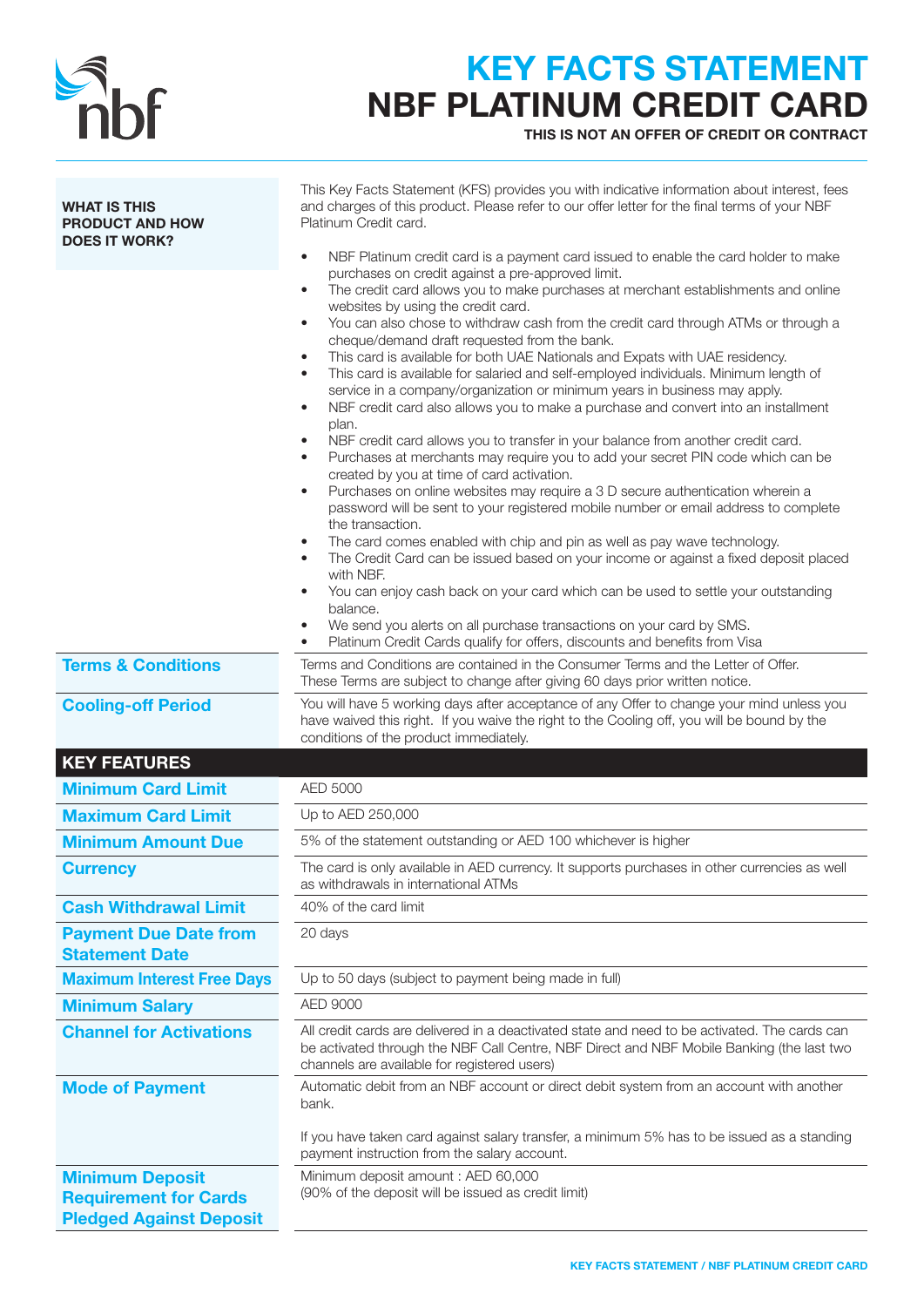

## KEY FACTS STATEMENT NBF PLATINUM CREDIT CARD

THIS IS NOT AN OFFER OF CREDIT OR CONTRACT

| <b>WHAT IS THIS</b><br><b>PRODUCT AND HOW</b><br><b>DOES IT WORK?</b> | This Key Facts Statement (KFS) provides you with indicative information about interest, fees<br>and charges of this product. Please refer to our offer letter for the final terms of your NBF<br>Platinum Credit card.<br>NBF Platinum credit card is a payment card issued to enable the card holder to make<br>$\bullet$                                                                                                                                                                                                                                                                                                                                                                                                                                                                                                                                                                                                                                                                                                                                                                                                                                                                                                                                                                                                                                                                                                                                                                                                                                                                           |  |
|-----------------------------------------------------------------------|------------------------------------------------------------------------------------------------------------------------------------------------------------------------------------------------------------------------------------------------------------------------------------------------------------------------------------------------------------------------------------------------------------------------------------------------------------------------------------------------------------------------------------------------------------------------------------------------------------------------------------------------------------------------------------------------------------------------------------------------------------------------------------------------------------------------------------------------------------------------------------------------------------------------------------------------------------------------------------------------------------------------------------------------------------------------------------------------------------------------------------------------------------------------------------------------------------------------------------------------------------------------------------------------------------------------------------------------------------------------------------------------------------------------------------------------------------------------------------------------------------------------------------------------------------------------------------------------------|--|
|                                                                       | purchases on credit against a pre-approved limit.<br>The credit card allows you to make purchases at merchant establishments and online<br>$\bullet$<br>websites by using the credit card.<br>You can also chose to withdraw cash from the credit card through ATMs or through a<br>cheque/demand draft requested from the bank.<br>This card is available for both UAE Nationals and Expats with UAE residency.<br>٠<br>This card is available for salaried and self-employed individuals. Minimum length of<br>$\bullet$<br>service in a company/organization or minimum years in business may apply.<br>NBF credit card also allows you to make a purchase and convert into an installment<br>٠<br>plan.<br>NBF credit card allows you to transfer in your balance from another credit card.<br>٠<br>Purchases at merchants may require you to add your secret PIN code which can be<br>created by you at time of card activation.<br>Purchases on online websites may require a 3 D secure authentication wherein a<br>$\bullet$<br>password will be sent to your registered mobile number or email address to complete<br>the transaction.<br>The card comes enabled with chip and pin as well as pay wave technology.<br>$\bullet$<br>The Credit Card can be issued based on your income or against a fixed deposit placed<br>with NBF.<br>You can enjoy cash back on your card which can be used to settle your outstanding<br>balance.<br>We send you alerts on all purchase transactions on your card by SMS.<br>Platinum Credit Cards qualify for offers, discounts and benefits from Visa |  |
| <b>Terms &amp; Conditions</b>                                         | Terms and Conditions are contained in the Consumer Terms and the Letter of Offer.<br>These Terms are subject to change after giving 60 days prior written notice.                                                                                                                                                                                                                                                                                                                                                                                                                                                                                                                                                                                                                                                                                                                                                                                                                                                                                                                                                                                                                                                                                                                                                                                                                                                                                                                                                                                                                                    |  |
| <b>Cooling-off Period</b>                                             | You will have 5 working days after acceptance of any Offer to change your mind unless you<br>have waived this right. If you waive the right to the Cooling off, you will be bound by the<br>conditions of the product immediately.                                                                                                                                                                                                                                                                                                                                                                                                                                                                                                                                                                                                                                                                                                                                                                                                                                                                                                                                                                                                                                                                                                                                                                                                                                                                                                                                                                   |  |
| <b>KEY FEATURES</b>                                                   |                                                                                                                                                                                                                                                                                                                                                                                                                                                                                                                                                                                                                                                                                                                                                                                                                                                                                                                                                                                                                                                                                                                                                                                                                                                                                                                                                                                                                                                                                                                                                                                                      |  |
| <b>Minimum Card Limit</b>                                             | AED 5000                                                                                                                                                                                                                                                                                                                                                                                                                                                                                                                                                                                                                                                                                                                                                                                                                                                                                                                                                                                                                                                                                                                                                                                                                                                                                                                                                                                                                                                                                                                                                                                             |  |
| <b>Maximum Card Limit</b>                                             | Up to AED 250,000                                                                                                                                                                                                                                                                                                                                                                                                                                                                                                                                                                                                                                                                                                                                                                                                                                                                                                                                                                                                                                                                                                                                                                                                                                                                                                                                                                                                                                                                                                                                                                                    |  |
| <b>Minimum Amount Due</b>                                             | 5% of the statement outstanding or AED 100 whichever is higher                                                                                                                                                                                                                                                                                                                                                                                                                                                                                                                                                                                                                                                                                                                                                                                                                                                                                                                                                                                                                                                                                                                                                                                                                                                                                                                                                                                                                                                                                                                                       |  |
| <b>Currency</b>                                                       | The card is only available in AED currency. It supports purchases in other currencies as well<br>as withdrawals in international ATMs                                                                                                                                                                                                                                                                                                                                                                                                                                                                                                                                                                                                                                                                                                                                                                                                                                                                                                                                                                                                                                                                                                                                                                                                                                                                                                                                                                                                                                                                |  |
| <b>Cash Withdrawal Limit</b>                                          | 40% of the card limit                                                                                                                                                                                                                                                                                                                                                                                                                                                                                                                                                                                                                                                                                                                                                                                                                                                                                                                                                                                                                                                                                                                                                                                                                                                                                                                                                                                                                                                                                                                                                                                |  |
| <b>Payment Due Date from</b><br><b>Statement Date</b>                 | 20 days                                                                                                                                                                                                                                                                                                                                                                                                                                                                                                                                                                                                                                                                                                                                                                                                                                                                                                                                                                                                                                                                                                                                                                                                                                                                                                                                                                                                                                                                                                                                                                                              |  |
| <b>Maximum Interest Free Days</b>                                     | Up to 50 days (subject to payment being made in full)                                                                                                                                                                                                                                                                                                                                                                                                                                                                                                                                                                                                                                                                                                                                                                                                                                                                                                                                                                                                                                                                                                                                                                                                                                                                                                                                                                                                                                                                                                                                                |  |
| <b>Minimum Salary</b>                                                 | <b>AED 9000</b>                                                                                                                                                                                                                                                                                                                                                                                                                                                                                                                                                                                                                                                                                                                                                                                                                                                                                                                                                                                                                                                                                                                                                                                                                                                                                                                                                                                                                                                                                                                                                                                      |  |
| <b>Channel for Activations</b>                                        | All credit cards are delivered in a deactivated state and need to be activated. The cards can<br>be activated through the NBF Call Centre, NBF Direct and NBF Mobile Banking (the last two<br>channels are available for registered users)                                                                                                                                                                                                                                                                                                                                                                                                                                                                                                                                                                                                                                                                                                                                                                                                                                                                                                                                                                                                                                                                                                                                                                                                                                                                                                                                                           |  |
| <b>Mode of Payment</b>                                                | Automatic debit from an NBF account or direct debit system from an account with another<br>bank.<br>If you have taken card against salary transfer, a minimum 5% has to be issued as a standing<br>payment instruction from the salary account.                                                                                                                                                                                                                                                                                                                                                                                                                                                                                                                                                                                                                                                                                                                                                                                                                                                                                                                                                                                                                                                                                                                                                                                                                                                                                                                                                      |  |
| <b>Minimum Deposit</b>                                                |                                                                                                                                                                                                                                                                                                                                                                                                                                                                                                                                                                                                                                                                                                                                                                                                                                                                                                                                                                                                                                                                                                                                                                                                                                                                                                                                                                                                                                                                                                                                                                                                      |  |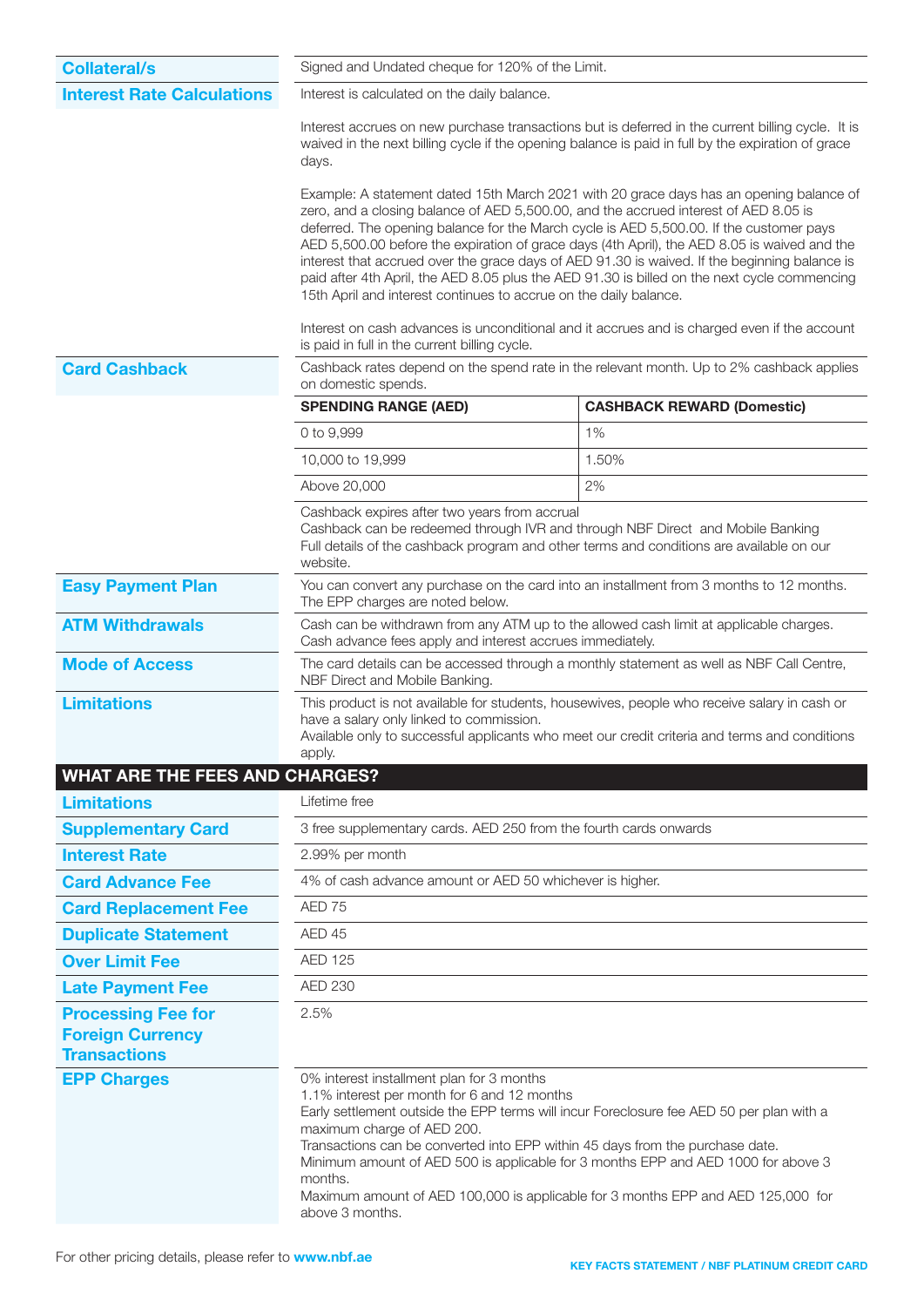| <b>Collateral/s</b>                                                         | Signed and Undated cheque for 120% of the Limit.                                                                                                                                                                                                                                                                                                                                                                                                                                                                                                                                                                                                 |                                                                                          |  |  |
|-----------------------------------------------------------------------------|--------------------------------------------------------------------------------------------------------------------------------------------------------------------------------------------------------------------------------------------------------------------------------------------------------------------------------------------------------------------------------------------------------------------------------------------------------------------------------------------------------------------------------------------------------------------------------------------------------------------------------------------------|------------------------------------------------------------------------------------------|--|--|
| <b>Interest Rate Calculations</b>                                           | Interest is calculated on the daily balance.<br>Interest accrues on new purchase transactions but is deferred in the current billing cycle. It is<br>waived in the next billing cycle if the opening balance is paid in full by the expiration of grace<br>days.                                                                                                                                                                                                                                                                                                                                                                                 |                                                                                          |  |  |
|                                                                             |                                                                                                                                                                                                                                                                                                                                                                                                                                                                                                                                                                                                                                                  |                                                                                          |  |  |
|                                                                             | Example: A statement dated 15th March 2021 with 20 grace days has an opening balance of<br>zero, and a closing balance of AED 5,500.00, and the accrued interest of AED 8.05 is<br>deferred. The opening balance for the March cycle is AED 5,500.00. If the customer pays<br>AED 5,500.00 before the expiration of grace days (4th April), the AED 8.05 is waived and the<br>interest that accrued over the grace days of AED 91.30 is waived. If the beginning balance is<br>paid after 4th April, the AED 8.05 plus the AED 91.30 is billed on the next cycle commencing<br>15th April and interest continues to accrue on the daily balance. |                                                                                          |  |  |
|                                                                             | Interest on cash advances is unconditional and it accrues and is charged even if the account<br>is paid in full in the current billing cycle.                                                                                                                                                                                                                                                                                                                                                                                                                                                                                                    |                                                                                          |  |  |
| <b>Card Cashback</b>                                                        | on domestic spends.                                                                                                                                                                                                                                                                                                                                                                                                                                                                                                                                                                                                                              | Cashback rates depend on the spend rate in the relevant month. Up to 2% cashback applies |  |  |
|                                                                             | <b>SPENDING RANGE (AED)</b>                                                                                                                                                                                                                                                                                                                                                                                                                                                                                                                                                                                                                      | <b>CASHBACK REWARD (Domestic)</b>                                                        |  |  |
|                                                                             | 0 to 9,999                                                                                                                                                                                                                                                                                                                                                                                                                                                                                                                                                                                                                                       | 1%                                                                                       |  |  |
|                                                                             | 10,000 to 19,999                                                                                                                                                                                                                                                                                                                                                                                                                                                                                                                                                                                                                                 | 1.50%                                                                                    |  |  |
|                                                                             | Above 20,000                                                                                                                                                                                                                                                                                                                                                                                                                                                                                                                                                                                                                                     | 2%                                                                                       |  |  |
|                                                                             | Cashback expires after two years from accrual<br>Cashback can be redeemed through IVR and through NBF Direct and Mobile Banking<br>website.                                                                                                                                                                                                                                                                                                                                                                                                                                                                                                      | Full details of the cashback program and other terms and conditions are available on our |  |  |
| <b>Easy Payment Plan</b>                                                    | The EPP charges are noted below.                                                                                                                                                                                                                                                                                                                                                                                                                                                                                                                                                                                                                 | You can convert any purchase on the card into an installment from 3 months to 12 months. |  |  |
| <b>ATM Withdrawals</b>                                                      | Cash advance fees apply and interest accrues immediately.                                                                                                                                                                                                                                                                                                                                                                                                                                                                                                                                                                                        | Cash can be withdrawn from any ATM up to the allowed cash limit at applicable charges.   |  |  |
| <b>Mode of Access</b>                                                       | The card details can be accessed through a monthly statement as well as NBF Call Centre,<br>NBF Direct and Mobile Banking.                                                                                                                                                                                                                                                                                                                                                                                                                                                                                                                       |                                                                                          |  |  |
| <b>Limitations</b>                                                          | This product is not available for students, housewives, people who receive salary in cash or<br>have a salary only linked to commission.<br>Available only to successful applicants who meet our credit criteria and terms and conditions<br>apply.                                                                                                                                                                                                                                                                                                                                                                                              |                                                                                          |  |  |
| <b>WHAT ARE THE FEES AND CHARGES?</b>                                       |                                                                                                                                                                                                                                                                                                                                                                                                                                                                                                                                                                                                                                                  |                                                                                          |  |  |
| <b>Limitations</b>                                                          | Lifetime free                                                                                                                                                                                                                                                                                                                                                                                                                                                                                                                                                                                                                                    |                                                                                          |  |  |
| <b>Supplementary Card</b>                                                   | 3 free supplementary cards. AED 250 from the fourth cards onwards                                                                                                                                                                                                                                                                                                                                                                                                                                                                                                                                                                                |                                                                                          |  |  |
| <b>Interest Rate</b>                                                        | 2.99% per month                                                                                                                                                                                                                                                                                                                                                                                                                                                                                                                                                                                                                                  |                                                                                          |  |  |
| <b>Card Advance Fee</b>                                                     | 4% of cash advance amount or AED 50 whichever is higher.                                                                                                                                                                                                                                                                                                                                                                                                                                                                                                                                                                                         |                                                                                          |  |  |
| <b>Card Replacement Fee</b>                                                 | AED 75                                                                                                                                                                                                                                                                                                                                                                                                                                                                                                                                                                                                                                           |                                                                                          |  |  |
| <b>Duplicate Statement</b>                                                  | AED 45                                                                                                                                                                                                                                                                                                                                                                                                                                                                                                                                                                                                                                           |                                                                                          |  |  |
| <b>Over Limit Fee</b>                                                       | <b>AED 125</b>                                                                                                                                                                                                                                                                                                                                                                                                                                                                                                                                                                                                                                   |                                                                                          |  |  |
| <b>Late Payment Fee</b>                                                     | <b>AED 230</b>                                                                                                                                                                                                                                                                                                                                                                                                                                                                                                                                                                                                                                   |                                                                                          |  |  |
| <b>Processing Fee for</b><br><b>Foreign Currency</b><br><b>Transactions</b> | 2.5%                                                                                                                                                                                                                                                                                                                                                                                                                                                                                                                                                                                                                                             |                                                                                          |  |  |
| <b>EPP Charges</b>                                                          | 0% interest installment plan for 3 months<br>1.1% interest per month for 6 and 12 months<br>Early settlement outside the EPP terms will incur Foreclosure fee AED 50 per plan with a<br>maximum charge of AED 200.<br>Transactions can be converted into EPP within 45 days from the purchase date.<br>Minimum amount of AED 500 is applicable for 3 months EPP and AED 1000 for above 3<br>months.<br>Maximum amount of AED 100,000 is applicable for 3 months EPP and AED 125,000 for<br>above 3 months.                                                                                                                                       |                                                                                          |  |  |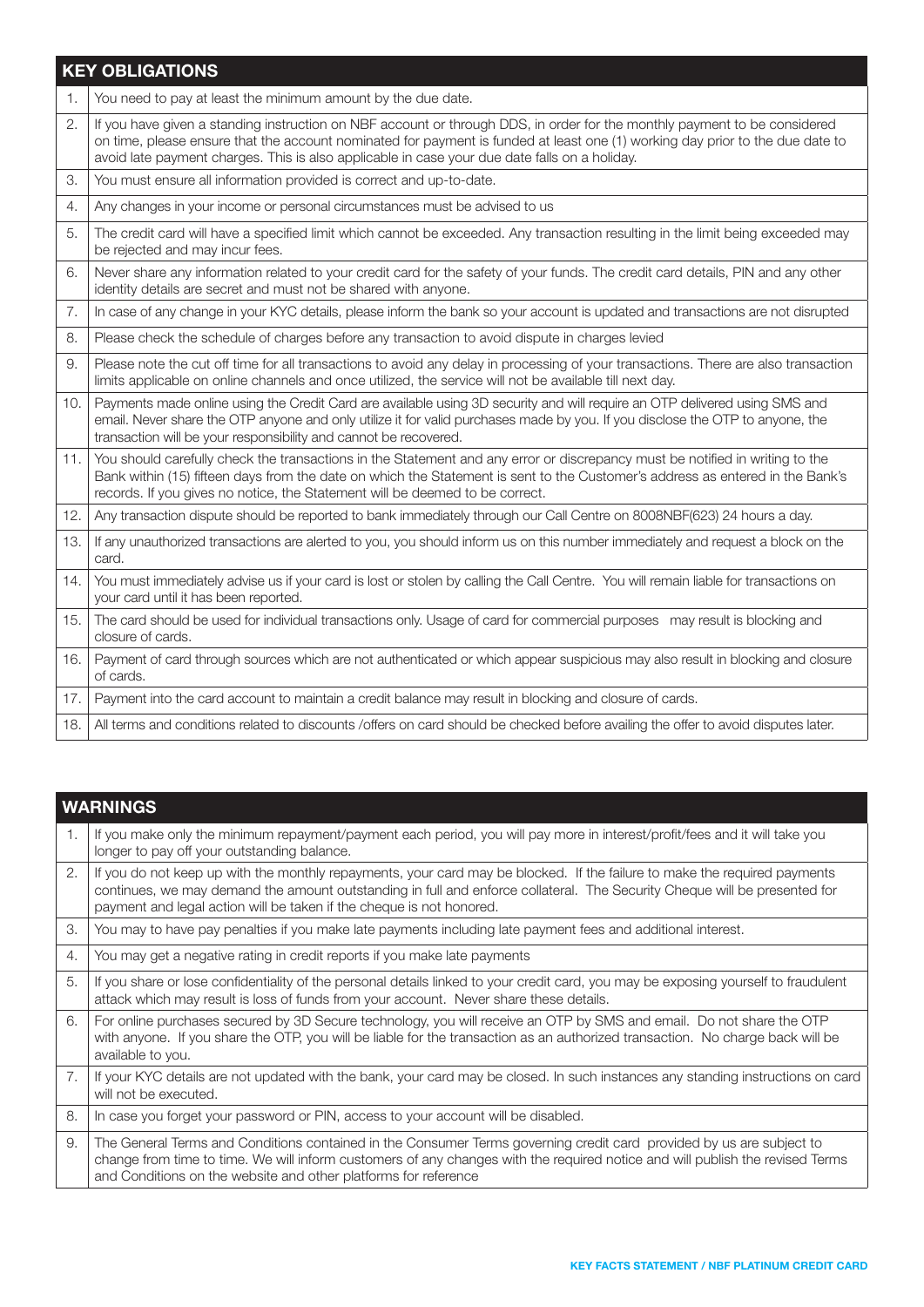## KEY OBLIGATIONS

|                | <b>NET OPLIGATIONS</b>                                                                                                                                                                                                                                                                                                                                      |
|----------------|-------------------------------------------------------------------------------------------------------------------------------------------------------------------------------------------------------------------------------------------------------------------------------------------------------------------------------------------------------------|
| $\mathbf{1}$ . | You need to pay at least the minimum amount by the due date.                                                                                                                                                                                                                                                                                                |
| 2.             | If you have given a standing instruction on NBF account or through DDS, in order for the monthly payment to be considered<br>on time, please ensure that the account nominated for payment is funded at least one (1) working day prior to the due date to<br>avoid late payment charges. This is also applicable in case your due date falls on a holiday. |
| 3.             | You must ensure all information provided is correct and up-to-date.                                                                                                                                                                                                                                                                                         |
| 4.             | Any changes in your income or personal circumstances must be advised to us                                                                                                                                                                                                                                                                                  |
| 5.             | The credit card will have a specified limit which cannot be exceeded. Any transaction resulting in the limit being exceeded may<br>be rejected and may incur fees.                                                                                                                                                                                          |
| 6.             | Never share any information related to your credit card for the safety of your funds. The credit card details, PIN and any other<br>identity details are secret and must not be shared with anyone.                                                                                                                                                         |
| 7.             | In case of any change in your KYC details, please inform the bank so your account is updated and transactions are not disrupted                                                                                                                                                                                                                             |
| 8.             | Please check the schedule of charges before any transaction to avoid dispute in charges levied                                                                                                                                                                                                                                                              |
| 9.             | Please note the cut off time for all transactions to avoid any delay in processing of your transactions. There are also transaction<br>limits applicable on online channels and once utilized, the service will not be available till next day.                                                                                                             |
| 10.            | Payments made online using the Credit Card are available using 3D security and will require an OTP delivered using SMS and<br>email. Never share the OTP anyone and only utilize it for valid purchases made by you. If you disclose the OTP to anyone, the<br>transaction will be your responsibility and cannot be recovered.                             |
| 11.            | You should carefully check the transactions in the Statement and any error or discrepancy must be notified in writing to the<br>Bank within (15) fifteen days from the date on which the Statement is sent to the Customer's address as entered in the Bank's<br>records. If you gives no notice, the Statement will be deemed to be correct.               |
| 12.            | Any transaction dispute should be reported to bank immediately through our Call Centre on 8008NBF(623) 24 hours a day.                                                                                                                                                                                                                                      |
| 13.            | If any unauthorized transactions are alerted to you, you should inform us on this number immediately and request a block on the<br>card.                                                                                                                                                                                                                    |
| 14.            | You must immediately advise us if your card is lost or stolen by calling the Call Centre. You will remain liable for transactions on<br>your card until it has been reported.                                                                                                                                                                               |
| 15.            | The card should be used for individual transactions only. Usage of card for commercial purposes may result is blocking and<br>closure of cards.                                                                                                                                                                                                             |
| 16.            | Payment of card through sources which are not authenticated or which appear suspicious may also result in blocking and closure<br>of cards.                                                                                                                                                                                                                 |
| 17.            | Payment into the card account to maintain a credit balance may result in blocking and closure of cards.                                                                                                                                                                                                                                                     |
| 18.            | All terms and conditions related to discounts /offers on card should be checked before availing the offer to avoid disputes later.                                                                                                                                                                                                                          |
|                |                                                                                                                                                                                                                                                                                                                                                             |

|                | <b>WARNINGS</b>                                                                                                                                                                                                                                                                                                                |  |  |
|----------------|--------------------------------------------------------------------------------------------------------------------------------------------------------------------------------------------------------------------------------------------------------------------------------------------------------------------------------|--|--|
| 1.             | If you make only the minimum repayment/payment each period, you will pay more in interest/profit/fees and it will take you<br>longer to pay off your outstanding balance.                                                                                                                                                      |  |  |
| 2.             | If you do not keep up with the monthly repayments, your card may be blocked. If the failure to make the required payments<br>continues, we may demand the amount outstanding in full and enforce collateral. The Security Cheque will be presented for<br>payment and legal action will be taken if the cheque is not honored. |  |  |
| 3.             | You may to have pay penalties if you make late payments including late payment fees and additional interest.                                                                                                                                                                                                                   |  |  |
| 4.             | You may get a negative rating in credit reports if you make late payments                                                                                                                                                                                                                                                      |  |  |
| 5.             | If you share or lose confidentiality of the personal details linked to your credit card, you may be exposing yourself to fraudulent<br>attack which may result is loss of funds from your account. Never share these details.                                                                                                  |  |  |
| 6.             | For online purchases secured by 3D Secure technology, you will receive an OTP by SMS and email. Do not share the OTP<br>with anyone. If you share the OTP, you will be liable for the transaction as an authorized transaction. No charge back will be<br>available to you.                                                    |  |  |
| 7 <sub>1</sub> | If your KYC details are not updated with the bank, your card may be closed. In such instances any standing instructions on card<br>will not be executed.                                                                                                                                                                       |  |  |
| 8.             | In case you forget your password or PIN, access to your account will be disabled.                                                                                                                                                                                                                                              |  |  |
| 9.             | The General Terms and Conditions contained in the Consumer Terms governing credit card provided by us are subject to<br>change from time to time. We will inform customers of any changes with the required notice and will publish the revised Terms<br>and Conditions on the website and other platforms for reference       |  |  |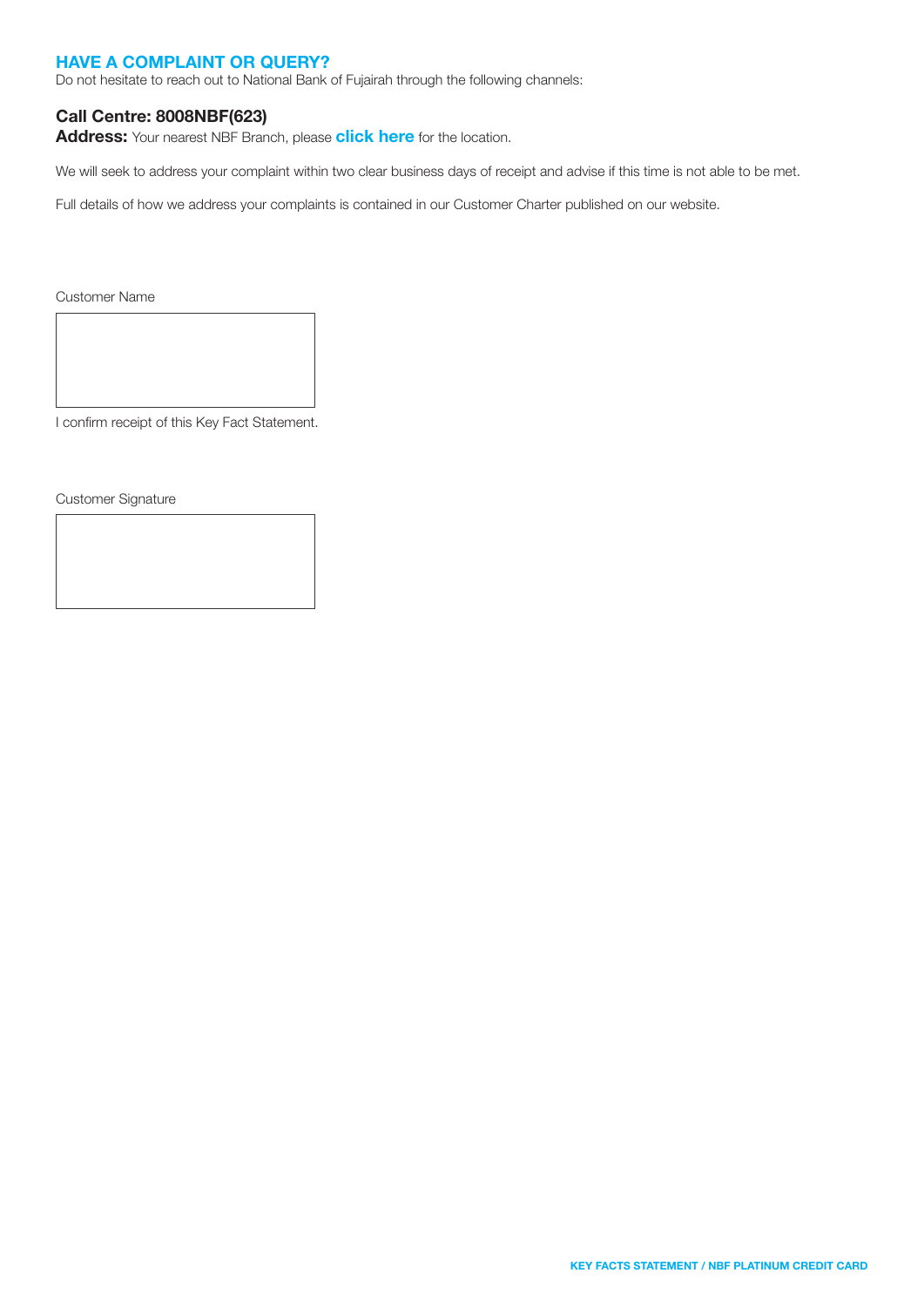### HAVE A COMPLAINT OR QUERY?

Do not hesitate to reach out to National Bank of Fujairah through the following channels:

### Call Centre: 8008NBF(623)

Address: Your nearest NBF Branch, please [click here](https://nbf.ae/en/contact/locations) for the location.

We will seek to address your complaint within two clear business days of receipt and advise if this time is not able to be met.

Full details of how we address your complaints is contained in our Customer Charter published on our website.

Customer Name

I confirm receipt of this Key Fact Statement.

Customer Signature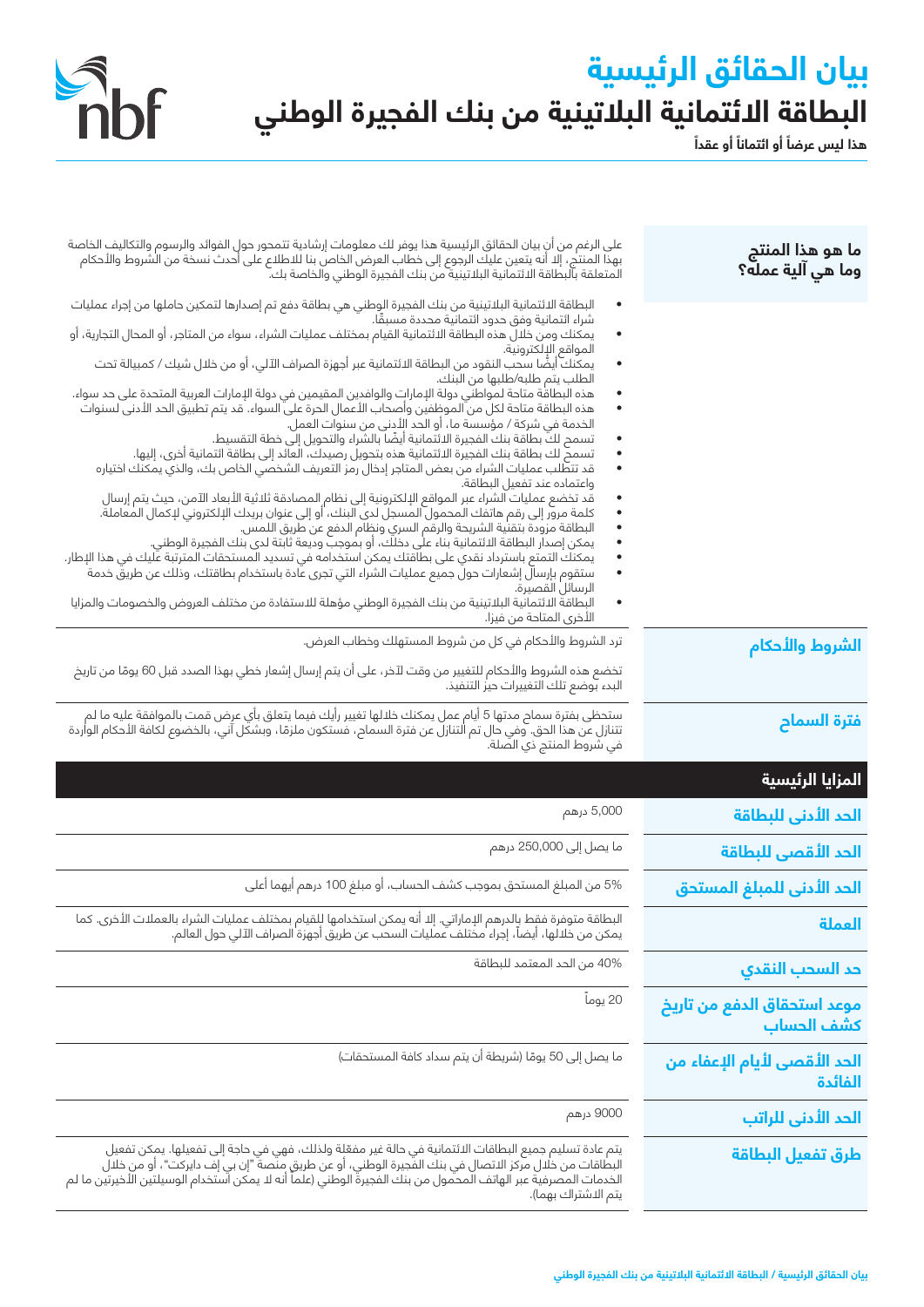# **بيان الحقائق الرئيسية ً البطاقة االئتمانية البالتينية من بنك الفجيرة الوطني**

Shif

هذا ليس عرضاً أو ائتماناً أو عقداً

| ما هو هذا المنتج<br>وما هي آلية عمله؟      | على الرغم من أنِ بيان الحقائق الرئيسية هذا يوفر لك معلومات إرشادية تتمحور حول الفوائد والرسوم والتكاليف الخاصة<br>بهذا المنتج، إلا أنه يتعين عليك الرجوع إلى خطاب العرض الخاص بنا للاطلاع على أحدث نسخة من الشروط والأحكام<br>المتعلقة بالبطاقة الائتمانية البلاتينية من بنك الفجيرة الوطني والخاصة بك.                                                                                                                                                                                                                                                                                                                                  |
|--------------------------------------------|------------------------------------------------------------------------------------------------------------------------------------------------------------------------------------------------------------------------------------------------------------------------------------------------------------------------------------------------------------------------------------------------------------------------------------------------------------------------------------------------------------------------------------------------------------------------------------------------------------------------------------------|
|                                            | البطاقة الائتمانية البلاتينية من بنك الفجيرة الوطني هي بطاقة دفع تم إصدارها لتمكين حاملها من إجراء عمليات<br>شراء ائتمانية وفق حدود ائتمانية محددة مسبقًا.                                                                                                                                                                                                                                                                                                                                                                                                                                                                               |
|                                            | يمكنك ومن خلالٌ هذه البطاقة الائتمانية القيام بمختلف عمليات الشراء، سواء من المتاجر، أو المحال التجارية، أو<br>المواقع الإلكترونية.                                                                                                                                                                                                                                                                                                                                                                                                                                                                                                      |
|                                            | يمكنك أيضًا سحب النقود من البطاقة الائتمانية عبر أجهزة الصراف الآلي، أو من خلال شيك / كمبيالة تحت<br>الطلب يتم طلبه/طلبها من البنك.                                                                                                                                                                                                                                                                                                                                                                                                                                                                                                      |
|                                            | هذه البطاقة متاحة لمواطني دولة الإمارات والوافدين المقيمين في دولة الإمارات العربية المتحدة على حد سواء.<br>هذه البطاقة متاحة لكل من الموظفين وأصحاب الأعمال الحرة على السواء. قد يتم تطبيق الحد الأدنى لسنوات<br>الخدمة في شركة / مؤسسة ما، أو الحد الأدنى من سنوات العمل.<br>تسمح لكَ بطاقة بنك الفجيرة الائتمانية أيضًا بالشراء والتحويل إلى خطة التقسيط.<br>تسمحٌ لك بطاقة بنك الفجيرة الائتمانية هذه بتحويل رصيدك، العائد إلى بطاقة ائتمانية أخرى، إليها.<br>قد تتطلب عمليات الشراء من بعض المتاجر إدخال رمز التعريف الشخصي الخاص بك، والذي يمكنك اختياره                                                                           |
|                                            | واعتماده عند تفعيل البطاقة.<br>قد تخضع عمليات الشراء عبر المواقع الإلكترونية إلى نظام المصادقة ثلاثية الأبعاد الآمن، حيث يتم إرسال<br>كلمة مرور إلى رقم هاتفك المحمول المسجل لدى البنك، أو إلى عنوان بريدك الإلكتروني لإكمال المعاملة.<br>البطاقة مزودة بتقنية الشريحة والرقم السري ونظام الدفع عن طريق اللمس.<br>يمكن إصدار البطاقة الائتمانية بناء على دخلك، أو بموجب وديعة ثابتة لدى بنك الفجيرة الوطني.<br>يمكنك التمتع باسترداد نقدي على بطاقتك يمكن استخدامه في تسديد المستحقات المترتبة عليك في هذا الإطار.<br>ستقوم بإرسال إشعارات حول جميع عمليات الشراء التي تجرى عادة باستخدام بطاقتك، وذلك عن طريقٌ خدمة<br>الرسائل القصيرة. |
|                                            | البطاقة الائتمانية البلاتينية من بنك الفجيرة الوطني مؤهلة للاستفادة من مختلف العروض والخصومات والمزايا<br>$\bullet$<br>الأخرى المتاحة من فيزا.                                                                                                                                                                                                                                                                                                                                                                                                                                                                                           |
| الشروط والأحكام                            | ترد الشروط والأحكام في كل من شروط المستهلك وخطاب العرض.                                                                                                                                                                                                                                                                                                                                                                                                                                                                                                                                                                                  |
|                                            | تخضع هذه الشروط والأحكام للتغيير من وقت لآخر، على أن يتم إرسال إشعار خطي بهذا الصدد قبل 60 يومًا من تاريخ<br>البدء بوضع تلك التغييرات حيز التنفيذ.                                                                                                                                                                                                                                                                                                                                                                                                                                                                                       |
| فترة السماح                                | ستحظى بفترة سماح مدتها 5 أيام عمل يمكنك خلالها تغيير رأيك فيما يتعلق بأي عرض قمت بالموافقة عليه ما لم<br>تتنازل عن هذا الحق. وفي حال تم التنازل عن فترة السماح، فستكون ملزمًا، وبشكل آني، بالخضوع لكافة الأحكام الواردة<br>في شروط المنتج ذي الصلة.                                                                                                                                                                                                                                                                                                                                                                                      |
| المزايا الرئيسية                           |                                                                                                                                                                                                                                                                                                                                                                                                                                                                                                                                                                                                                                          |
| الحد الأدنى للبطاقة                        | 5,000 درهم                                                                                                                                                                                                                                                                                                                                                                                                                                                                                                                                                                                                                               |
| الحد الأقصى للبطاقة                        | ما يصل إلى 250,000 درهم                                                                                                                                                                                                                                                                                                                                                                                                                                                                                                                                                                                                                  |
| الحد الأدنى للمبلغ المستحق                 | 5% من المبلغ المستحق بموجب كشف الحساب، أو مبلغ 100 درهم أيهما أعلى                                                                                                                                                                                                                                                                                                                                                                                                                                                                                                                                                                       |
| العملة                                     | البطاقة متوفرة فقط بالدرهم الإماراتي. إلا أنه يمكن استخدامها لِلقيام بمختلف عمليات الشراء بالعملات الأخرى. كما<br>.<br>يمكن من خَلالُها، أيضاً، إجراء مختلفٌ عمليات السحب عن طريق أجهزة الصراف الآلي حول العالم.                                                                                                                                                                                                                                                                                                                                                                                                                         |
| حد السحب النقدي                            | 40% من الحد المعتمد للبطاقة                                                                                                                                                                                                                                                                                                                                                                                                                                                                                                                                                                                                              |
| موعد استحقاق الدفع من تاريخ<br>كشّف الحساب | 20 يوماً                                                                                                                                                                                                                                                                                                                                                                                                                                                                                                                                                                                                                                 |
| الحد اللهصي للهام الإعفاء من<br>الفائدة    | ما يصل إلى 50 يومًا (شريطة أن يتم سداد كافة المستحقات)                                                                                                                                                                                                                                                                                                                                                                                                                                                                                                                                                                                   |
| الحد الأدنى للراتب                         | 9000 درهم                                                                                                                                                                                                                                                                                                                                                                                                                                                                                                                                                                                                                                |
| طرق تفعيل البطاقة                          | يتم عادة تسليم جميع البطاقات الائتمانية في حالة غير مفعّلِة ولذلك، فهي في حاجة إلى تفعيلها. يمكن تفعيل<br>البطاقات من خلال مركز الاتصال في بنك الفَّجيرة الوطني، أو عن طريقٍ منَّصةٌ "إن بي إفّ دايركت"، أو من خلال<br>الخدمات المصرفية عبر الهاتف المحمول من بنك الفجيرة الوطني (علماً أنه لا يمكن استخدام الوسيلتين الأخيرتين ما لم                                                                                                                                                                                                                                                                                                    |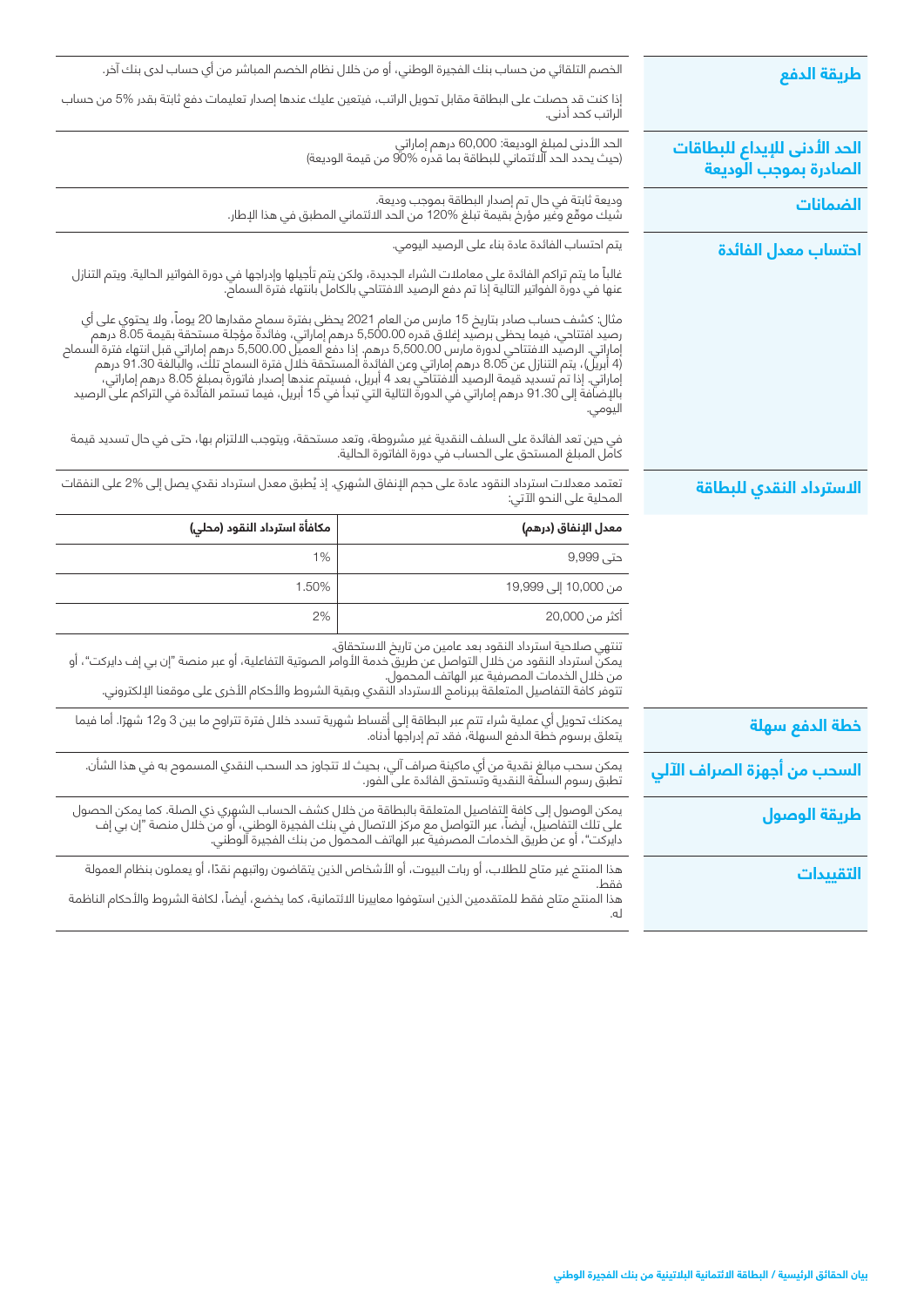| طريقة الدفع                                           | الخصم التلقائي من حساب بنك الفجيرة الوطني، أو من خلال نظام الخصم المباشر من أي حساب لدى بنك آخر.                                                                                                                                                                                                                                                                                                                                                                                                                                                                                                                                                                                          |                              |
|-------------------------------------------------------|-------------------------------------------------------------------------------------------------------------------------------------------------------------------------------------------------------------------------------------------------------------------------------------------------------------------------------------------------------------------------------------------------------------------------------------------------------------------------------------------------------------------------------------------------------------------------------------------------------------------------------------------------------------------------------------------|------------------------------|
|                                                       | إذا كنت قد حصلت على البطاقة مقابل تحويل الراتب، فيتعين عليك عندها إصدار تعليمات دفع ثابتة بقدر %5 من حساب<br>الراتب كحد أدنى.                                                                                                                                                                                                                                                                                                                                                                                                                                                                                                                                                             |                              |
| الحد الأدنى للإيداع للبطاقات<br>الصادرة بموجب الوديعة | الحد الأدنى لمبلغ الوديعة: 60,000 درهم إماراتي<br>(حيث يحدد الحد الائتماني للبطاقة بما قدره %90 من قيمة الوديعة)                                                                                                                                                                                                                                                                                                                                                                                                                                                                                                                                                                          |                              |
| الضمانات                                              | وديعة ثابتة في حال تم إصدار البطاقة بموجب وديعة.<br>شيك موقّع وغير مؤرخ بقيمة تبلغ %120 من الحد الائتماني المطبق في هذا الإطار.                                                                                                                                                                                                                                                                                                                                                                                                                                                                                                                                                           |                              |
| احتساب معدل الفائدة                                   | يتم احتساب الفائدة عادة بناء على الرصيد اليومي.                                                                                                                                                                                                                                                                                                                                                                                                                                                                                                                                                                                                                                           |                              |
|                                                       | غالباً ما يتم تراكم الفائدة على معاملات الشراء الجديدة، ولكن يتم تأجيلها وإدراجها في دورة الفواتير الحالية. ويتم التنازل<br>عنها في دورة الفواتير التالية إذا تم دفع الرصيد الافتتاحي بالكامل بانتهاء فترة السماح.                                                                                                                                                                                                                                                                                                                                                                                                                                                                        |                              |
|                                                       | مثال: كشف حساب صادر بتاريخ 15 مارس من العام 2021 يحظى بفترة سماح مقدارها 20 يوماً، ولا يحتوي على أي<br>رصيد افتتاحي، فيما يحظى برصيد إغلاق قدره 5,500.00 درهم إماراتي، وفائدة مؤجلة مستحقة بقيمة 8.05 درهم<br>إماراتي. الرصيد الافتتاحي لدورة مارس 5,500.00 درهم. إذا دفع العميل 5,500.00 درهم إماراتي قبل انتهاء فترة السماح<br>(4 أبريل)، يتم التنازل عن 8.05 درهم إماراتي وعن الفائدة المستحقة خلال فترة السماح تلك، والبالغة 91.30 درهم<br>إماراتي. إذا تم تسديد قيمة الرصيد الافتتاحي بعد 4 أبريل، فسيتم عندها إصدار فاتورة بمبلغ 8.05 درهم إماراتي،<br>بالإضافة إلى 91.30 درهم إماراتي في الدورة التالية التي تبدأ في 15 أبريل، فيما تستمر الفآئدة في التراكم على الرصيد<br>اليومي. |                              |
|                                                       | فى حين تعد الفائدة على السلف النقدية غير مشروطة، وتعد مستحقة، ويتوجب الالتزام بها، حتى في حال تسديد قيمة<br>كامل المبلغ المستحق على الحساب في دورة الفاتورة الحالية.                                                                                                                                                                                                                                                                                                                                                                                                                                                                                                                      |                              |
| الاسترداد النقدي للبطاقة                              | تعتمد معدلات استرداد النقود عادة على حجم الإنفاق الشهري. إذ يُطبق معدل استرداد نقدي يصل إلى %2 على النفقات<br>المحلية على النحو الآتي:                                                                                                                                                                                                                                                                                                                                                                                                                                                                                                                                                    |                              |
|                                                       | معدل الإنفاق (درهم)                                                                                                                                                                                                                                                                                                                                                                                                                                                                                                                                                                                                                                                                       | مكافأة استرداد النقود (محلي) |
|                                                       | حتى 9,999                                                                                                                                                                                                                                                                                                                                                                                                                                                                                                                                                                                                                                                                                 | 1%                           |
|                                                       | من 10,000 إلى 19,999                                                                                                                                                                                                                                                                                                                                                                                                                                                                                                                                                                                                                                                                      | 1.50%                        |
|                                                       | أكثر من 20,000                                                                                                                                                                                                                                                                                                                                                                                                                                                                                                                                                                                                                                                                            | 2%                           |
|                                                       | تنتهي صلاحية استرداد النقود بعد عامين من تاريخ الاستحقاق.<br>يمكنّ استرداد النقود من خلال التواصل عن طريق خدمة الأوامر الصوتية التفاعلية، أو عبر منصة "إن بي إف دايركت"، أو<br>من خلال الخدمات المصرفية عبر الهاتف المحمول.<br>تتوفر كافة التفاصيل المتعلقة ببرنامج الاسترداد النقدي وبقية الشروط والأحكام الأخرى على موقعنا الإلكتروني.                                                                                                                                                                                                                                                                                                                                                  |                              |
| خطة الدفع سهلة                                        | يمكنك تحويل أي عملية شراء تتم عبر البطاقة إلى أقساط شهرية تسدد خلال فترة تتراوح ما بين 3 و12 شهرًا. أما فيما<br>يتعلق برسوم خطة الدفع السهلة، فقد تم إدراجها أدناه.                                                                                                                                                                                                                                                                                                                                                                                                                                                                                                                       |                              |
| السحب من أجهزة الصراف الآلي                           | يمكن سحب مبالغ نقدية من أي ماكينة صراف آلي، بحيث لا تتجاوز حد السحب النقدي المسموح به في هذا الشأن.<br>تطبق رسوم السلفة النقدية وتستحق الفائدة على الفور.                                                                                                                                                                                                                                                                                                                                                                                                                                                                                                                                 |                              |
| طريقة الوصول                                          | يمكن الوصول إلى كافة التفاصيل المتعلقة بالبطاقة من خلال كشف الحساب الشهري ذي الصلة. كما يمكن الحصول<br>على تلك التفاصيل، أيضاً، عبر التواصل مع مركز الاتصال في بنك الفجيرة الوطني، أو من خلال منصة "إن بي إف<br>دايركت"، أو عن طريق                                                                                                                                                                                                                                                                                                                                                                                                                                                       |                              |
| التقييدات                                             | هذا المنتج غير متاح للطلاب، أو ربات البيوت، أو الأشخاص الذين يتقاضون رواتبهم نقدًا، أو يعملون بنظام العمولة<br>فقط<br>هذا المنتج متاح فقط للمتقدمين الذين استوفوا معاييرنا الائتمانية، كما يخضع، أيضاً، لكافة الشروط والأحكام الناظمة<br>له.                                                                                                                                                                                                                                                                                                                                                                                                                                              |                              |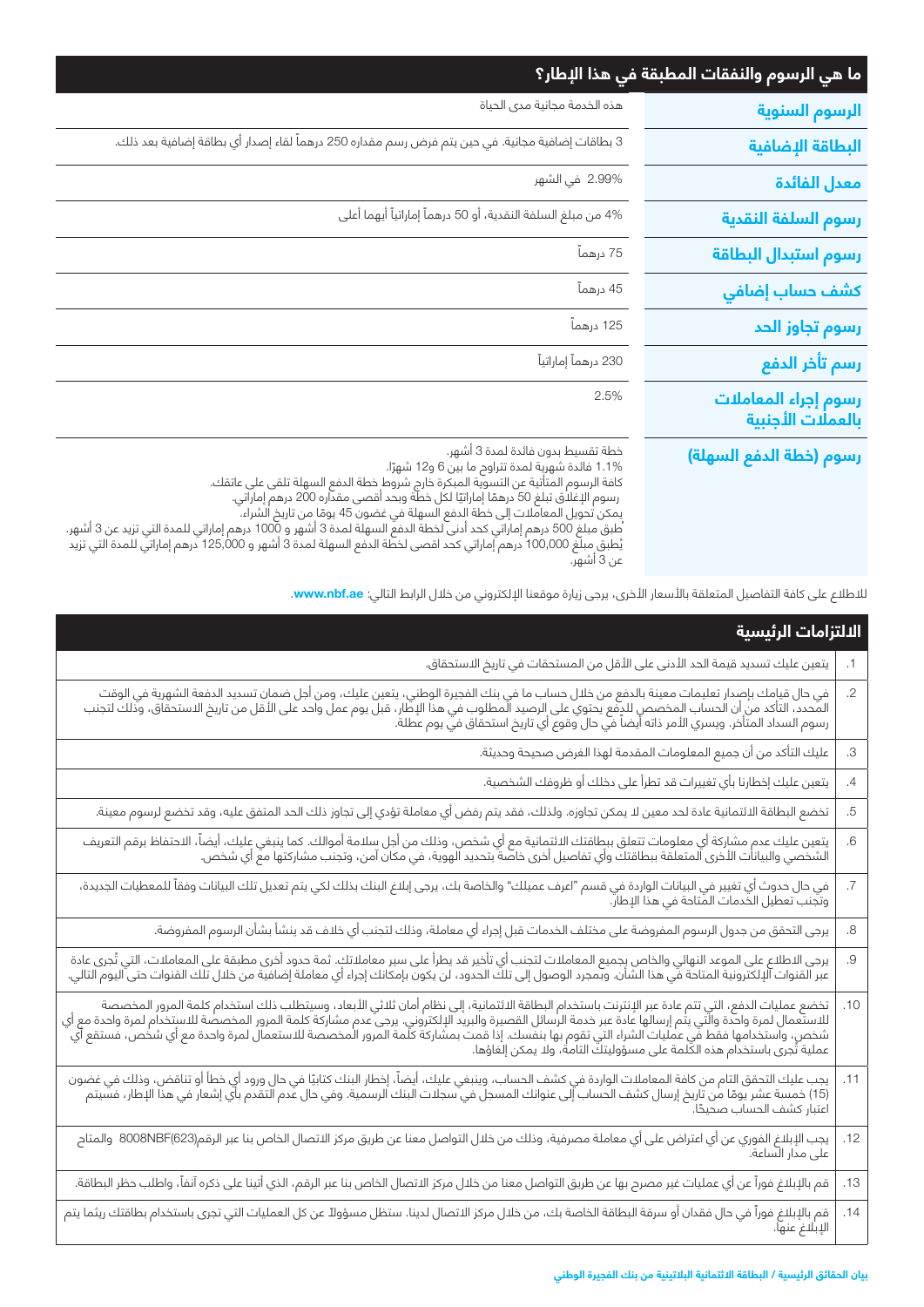| ما هي الرسوم والنفقات المطبقة في هذا الإطار؟ |                                                                                                                                                                                                                                                                                                                                                                                                                                                                                                                                                                                                        |
|----------------------------------------------|--------------------------------------------------------------------------------------------------------------------------------------------------------------------------------------------------------------------------------------------------------------------------------------------------------------------------------------------------------------------------------------------------------------------------------------------------------------------------------------------------------------------------------------------------------------------------------------------------------|
| الرسوم السنوية                               | هذه الخدمة مجانية مدى الحياة                                                                                                                                                                                                                                                                                                                                                                                                                                                                                                                                                                           |
| البطاقة الإضافية                             | 3 بطاقات إضافية مجانية. في حين يتم فرض رسم مقداره 250 درهماً لقاء إصدار أي بطاقة إضافية بعد ذلك.                                                                                                                                                                                                                                                                                                                                                                                                                                                                                                       |
| معدل الفائدة                                 | 2.99% في الشهر                                                                                                                                                                                                                                                                                                                                                                                                                                                                                                                                                                                         |
| رسوم السلفة النقدية                          | 4% من مبلغ السلفة النقدية، أو 50 درهماً إماراتياً أيهما أعلى                                                                                                                                                                                                                                                                                                                                                                                                                                                                                                                                           |
| رسوم استبدال البطاقة                         | 75 درهماً                                                                                                                                                                                                                                                                                                                                                                                                                                                                                                                                                                                              |
| كشف حساب إضافي                               | 45 درهماً                                                                                                                                                                                                                                                                                                                                                                                                                                                                                                                                                                                              |
| رسوم تجاوز الحد                              | 125 درهماً                                                                                                                                                                                                                                                                                                                                                                                                                                                                                                                                                                                             |
| رسم تأخر الدفع                               | 230 درهماً إماراتياً                                                                                                                                                                                                                                                                                                                                                                                                                                                                                                                                                                                   |
| رسوم إجراء المعاملات<br>بالعملات الأجنبية    | 2.5%                                                                                                                                                                                                                                                                                                                                                                                                                                                                                                                                                                                                   |
| رسوم (خطة الدفع السهلة)                      | خطة تقسيط بدون فائدة لمدة 3 أشهر.<br>1.1% فائدة شهرية لمدة تتراوح ما بين 6 و12 شهرًا.<br>كافة الرسوم المتأتية عن التسوية المبكرة خارج شروط خطة الدفع السهلة تلقى على عاتقك.<br>رسوم الإغلاق تبلغ 50 درهمًا إماراتيًا لكل خطّة وبحد أقصى مقدّاره 200 درهم إماراتي.<br>يمكن تحويل المعاملات إلى خطة الدفع السهلة في غضون 45 يومًا من تاريخ الشراء.<br>ئطبق مبلغ 500 درهم إماراتي كحد أدنى لخطة الدفع السهلة لمدة 3 أشهر و 1000 درهم إماراتي للمدة التي تزيد عن 3 أشهر.<br>يُطبق مبلّغ 100,000 درهم إماراتي كحد اقصى لخطّة الدفع السهلة لمدة 3 أشهر و 125,000 درهم إماراتي للمدة التي تزيد<br>عن 3 أشهرً. |

للاطلاع على كافة التفاصيل المتعلقة بالأسعار الأخرى، يرجى زيارة موقعنا الإلكتروني من خلال الرابط التالي: **www.nbf.ae.** 

| الالتزامات الرئيسية                                                                                                                                                                                                              |                          |
|----------------------------------------------------------------------------------------------------------------------------------------------------------------------------------------------------------------------------------|--------------------------|
| يتعين عليك تسديد قيمة الحد الأدنى على الأقل من المستحقات في تاريخ الاستحقاق.                                                                                                                                                     | .1                       |
| في حال قيامك بإصدار تعليمات معينة بالدفع من خلال حساب ما في بنك الفجيرة الوطني، يتعين عليك، ومن أجل ضمان تسديد الدفعة الشهرية في الوقت<br>المحدد، التأكد من أن الحساب المخصص للدفع يحتوي على الرصيد المطلوب في هذا الإطار، قبل ي | $\overline{.2}$          |
| عليك التأكد من أن جميع المعلومات المقدمة لهذا الغرض صحيحة وحديثة.                                                                                                                                                                | $\mathcal{S}.$           |
| يتعين عليك إخطارنا بأي تغييرات قد تطرأ على دخلك أو ظروفك الشخصية.                                                                                                                                                                | $\overline{A}$           |
| تخضع البطاقة الائتمانية عادة لحد معين لا يمكن تجاوزه. ولذلك، فقد يتم رفض أي معاملة تؤدي إلى تجاوز ذلك الحد المتفق عليه، وقد تخضع لرسوم معينة.                                                                                    | .5                       |
| يتعين عليك عدم مشاركة أي معلومات تتعلق ببطاقتك الائتمانية مع أي شخص، وذلك من أجل سلامة أموالك. كما ينبغي عليك، أيضاً، الاحتفاظ برقم التعريف<br>الشخصي والبيانات الأخرى المتعلقة ببطاقتك وأي تفاصيل أخرى خاصة بتحديد الهوية، في م | $\ddot{o}$               |
| .<br>في حال حدوث أي تغيير في البيانات الواردة في قسم "اعرف عميلك" والخاصة بك، يرجى إبلاغ البنك بذلك لكي يتم تعديل تلك البيانات وفقاً للمعطيات الجديدة،<br>وتجنب تعطيل الخدمات المتاحة في هذا الإطار.                             | $\overline{\mathcal{L}}$ |
| يرجى التحقق من جدول الرسوم المفروضة على مختلف الخدمات قبل إجراء أي معاملة، وذلك لتجنب أي خلاف قد ينشأ بشأن الرسوم المفروضة.                                                                                                      | $\boldsymbol{.8}$        |
| يرجى الاطلاع على الموعد النهائي والخاص بجميع المعاملات لتجنب أي تأخير قد يطرأ على سير معاملاتك. ثمة حدود أخرى مطبقة على المعاملات، التي تُجرى عادة<br>عبر القنوات الإلكترونية المتاحة في هذا الشأن. وبمجرد الوصول إلى تلك الحدود | .9                       |
| تخضع عمليات الدفع، التي تتم عادة عبر الإنترنت باستخدام البطاقة الائتمانية، إلى نظام أمان ثلاثي الأبعاد، وسيتطلب ذلك استخدام كلمة المرور المخصصة<br>للاستعمال لمرة واحدة والتي يتم إرسالها عادة عبر خدمة الرسائل القصيرة والبريد  | .10                      |
| يجب عليك التحقق التام من كافة المعاملات الواردة في كشف الحساب، وينبغي عليك، أيضاً، إخطار البنك كتابيًا في حال ورود أي خطأ أو تناقض، وذلك في غضون<br>(15) خمسة عشر يومًا من تاريخ إرسال كشف الحساب إلى عنوانك المسجل في سجلات الب | .11                      |
|                                                                                                                                                                                                                                  | .12                      |
| قم بالإبلاغ فوراً عن أي عمليات غير مصرح بها عن طريق التواصل معنا من خلال مركز الاتصال الخاص بنا عبر الرقم، الذي أتينا على ذكره آنفاً، واطلب حظر البطاقة.                                                                         | .13                      |
| قم بالإبلاغ فوراً في حال فقدان أو سرقة البطاقة الخاصة بك، من خلال مركز الاتصال لدينا. ستظل مسؤولاً عن كل العمليات التي تجرى باستخدام بطاقتك ريثما يتم<br>الإبلاغ عنها.                                                           | .14                      |